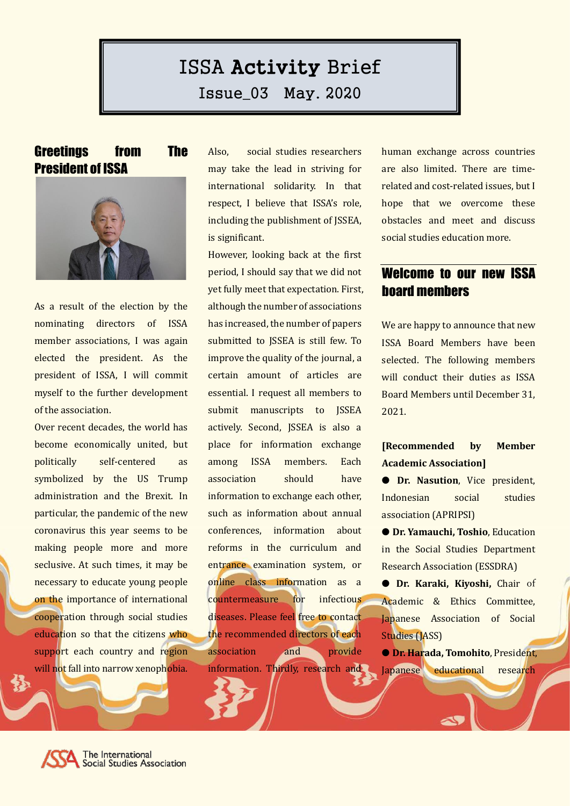# ISSA Activity Brief

Issue\_03 May. 2020

#### Greetings from The President of ISSA



As a result of the election by the nominating directors of ISSA member associations, I was again elected the president. As the president of ISSA, I will commit myself to the further development of the association.

Over recent decades, the world has become economically united, but politically self-centered as symbolized by the US Trump administration and the Brexit. In particular, the pandemic of the new coronavirus this year seems to be making people more and more seclusive. At such times, it may be necessary to educate young people on the importance of international cooperation through social studies education so that the citizens who support each country and region will not fall into narrow xenophobia. Also, social studies researchers may take the lead in striving for international solidarity. In that respect, I believe that ISSA's role, including the publishment of JSSEA, is significant.

However, looking back at the first period, I should say that we did not yet fully meet that expectation. First, although the number of associations has increased, the number of papers submitted to JSSEA is still few. To improve the quality of the journal, a certain amount of articles are essential. I request all members to submit manuscripts to JSSEA actively. Second, JSSEA is also a place for information exchange among ISSA members. Each association should have information to exchange each other, such as information about annual conferences, information about reforms in the curriculum and entrance examination system, or online class information as a countermeasure for infectious diseases. Please feel free to contact the recommended directors of each association and provide information. Thirdly, research and human exchange across countries are also limited. There are timerelated and cost-related issues, but I hope that we overcome these obstacles and meet and discuss social studies education more.

#### Welcome to our new ISSA board members

We are happy to announce that new ISSA Board Members have been selected. The following members will conduct their duties as ISSA Board Members until December 31, 2021.

#### **[Recommended by Member Academic Association]**

● **Dr. Nasution**, Vice president, Indonesian social studies association (APRIPSI)

● **Dr. Yamauchi, Toshio**, Education in the Social Studies Department Research Association (ESSDRA)

● **Dr. Karaki, Kiyoshi,** Chair of Academic & Ethics Committee, Japanese Association of Social Studies (JASS)

● **Dr. Harada, Tomohito**, President, Japanese educational research

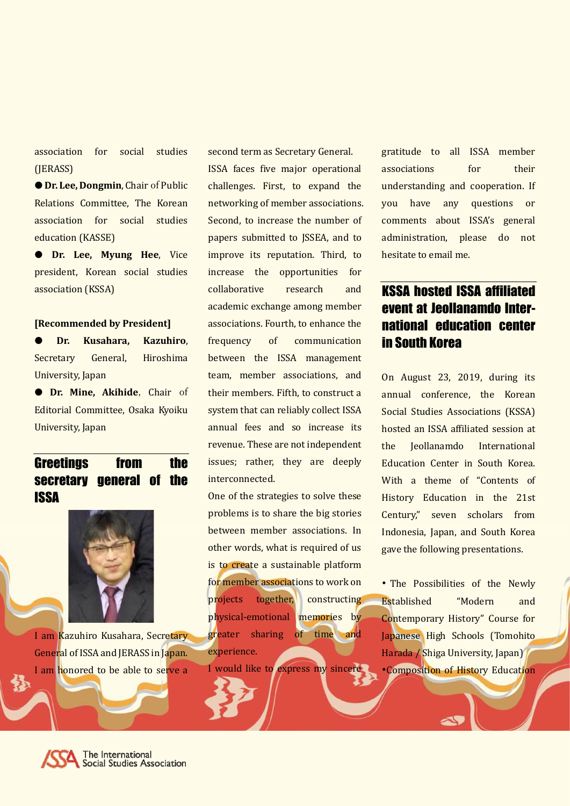association for social studies (JERASS)

● **Dr. Lee, Dongmin**, Chair of Public Relations Committee, The Korean association for social studies education (KASSE)

● **Dr. Lee, Myung Hee**, Vice president, Korean social studies association (KSSA)

#### **[Recommended by President]**

● **Dr. Kusahara, Kazuhiro**, Secretary General, Hiroshima University, Japan

● **Dr. Mine, Akihide**, Chair of Editorial Committee, Osaka Kyoiku University, Japan

# Greetings from the secretary general of the **ISSA**



I am Kazuhiro Kusahara, Secretary General of ISSA and JERASS in Japan. I am honored to be able to serve a second term as Secretary General. ISSA faces five major operational challenges. First, to expand the networking of member associations. Second, to increase the number of papers submitted to JSSEA, and to improve its reputation. Third, to increase the opportunities for collaborative research and academic exchange among member associations. Fourth, to enhance the frequency of communication between the ISSA management team, member associations, and their members. Fifth, to construct a system that can reliably collect ISSA annual fees and so increase its revenue. These are not independent issues; rather, they are deeply interconnected.

One of the strategies to solve these problems is to share the big stories between member associations. In other words, what is required of us is to create a sustainable platform for member associations to work on projects together, constructing physical-emotional memories by greater sharing of time and experience.

I would like to express my sincere

gratitude to all ISSA member associations for their understanding and cooperation. If you have any questions or comments about ISSA's general administration, please do not hesitate to email me.

# KSSA hosted ISSA affiliated event at Jeollanamdo International education center in South Korea

On August 23, 2019, during its annual conference, the Korean Social Studies Associations (KSSA) hosted an ISSA affiliated session at the Jeollanamdo International Education Center in South Korea. With a theme of "Contents of History Education in the 21st Century," seven scholars from Indonesia, Japan, and South Korea gave the following presentations.

• The Possibilities of the Newly Established "Modern and Contemporary History" Course for Japanese High Schools (Tomohito Harada / Shiga University, Japan) •Composition of History Education

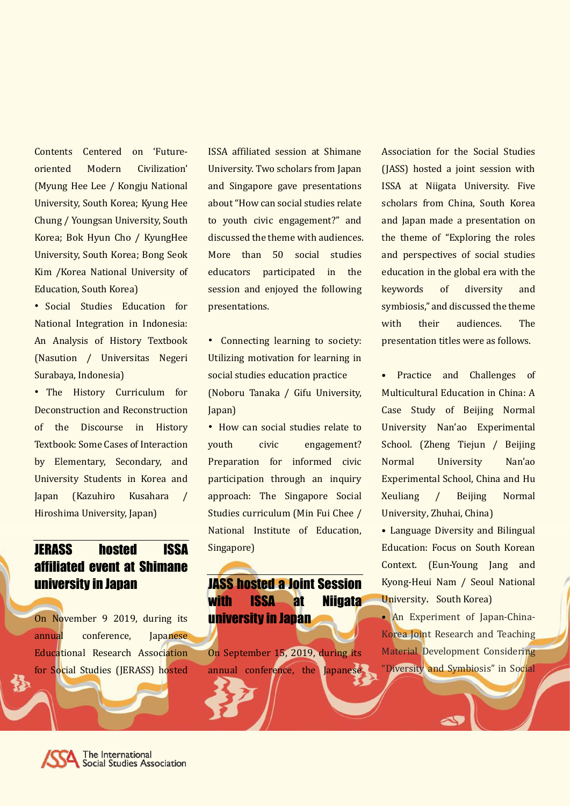Contents Centered on 'Futureoriented Modern Civilization' (Myung Hee Lee / Kongju National University, South Korea; Kyung Hee Chung / Youngsan University, South Korea; Bok Hyun Cho / KyungHee University, South Korea; Bong Seok Kim /Korea National University of Education, South Korea)

• Social Studies Education for National Integration in Indonesia: An Analysis of History Textbook (Nasution / Universitas Negeri Surabaya, Indonesia)

• The History Curriculum for Deconstruction and Reconstruction of the Discourse in History Textbook: Some Cases of Interaction by Elementary, Secondary, and University Students in Korea and Japan (Kazuhiro Kusahara / Hiroshima University, Japan)

#### JERASS hosted ISSA affiliated event at Shimane university in Japan

On November 9 2019, during its annual conference, Japanese Educational Research Association for Social Studies (JERASS) hosted ISSA affiliated session at Shimane University. Two scholars from Japan and Singapore gave presentations about "How can social studies relate to youth civic engagement?" and discussed the theme with audiences. More than 50 social studies educators participated in the session and enjoyed the following presentations.

• Connecting learning to society: Utilizing motivation for learning in social studies education practice (Noboru Tanaka / Gifu University, Japan)

• How can social studies relate to youth civic engagement? Preparation for informed civic participation through an inquiry approach: The Singapore Social Studies curriculum (Min Fui Chee / National Institute of Education, Singapore)

# JASS hosted a Joint Session with ISSA at Niigata university in Japan

On September 15, 2019, during its annual conference, the Japanese Association for the Social Studies (JASS) hosted a joint session with ISSA at Niigata University. Five scholars from China, South Korea and Japan made a presentation on the theme of "Exploring the roles and perspectives of social studies education in the global era with the keywords of diversity and symbiosis," and discussed the theme with their audiences. The presentation titles were as follows.

• Practice and Challenges of Multicultural Education in China: A Case Study of Beijing Normal University Nan'ao Experimental School. (Zheng Tiejun / Beijing Normal University Nan'ao Experimental School, China and Hu Xeuliang / Beijing Normal University, Zhuhai, China)

• Language Diversity and Bilingual Education: Focus on South Korean Context. (Eun-Young Jang and Kyong-Heui Nam / Seoul National University, South Korea)

• An Experiment of Japan-China-Korea Joint Research and Teaching Material Development Considering "Diversity and Symbiosis" in Social

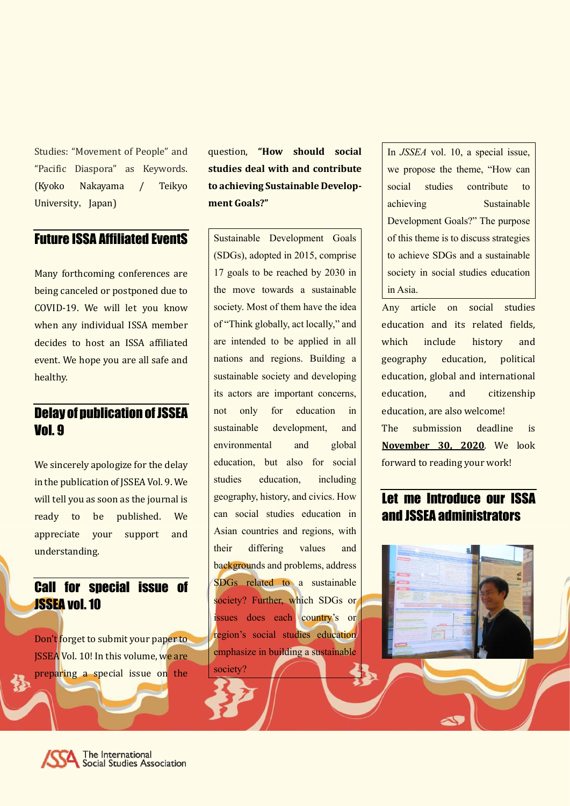Studies: "Movement of People" and "Pacific Diaspora" as Keywords. (Kyoko Nakayama / Teikyo University, Japan)

#### Future ISSA Affiliated EventS

Many forthcoming conferences are being canceled or postponed due to COVID-19. We will let you know when any individual ISSA member decides to host an ISSA affiliated event. We hope you are all safe and healthy.

# Delay of publication of JSSEA Vol. 9

We sincerely apologize for the delay in the publication of JSSEA Vol. 9. We will tell you as soon as the journal is ready to be published. We appreciate your support and understanding.

#### Call for special issue of JSSEA vol.10

Don't forget to submit your paper to JSSEA Vol. 10! In this volume, we are preparing a special issue on the

question, **"How should social studies deal with and contribute to achieving Sustainable Development Goals?"**

Sustainable Development Goals (SDGs), adopted in 2015, comprise 17 goals to be reached by 2030 in the move towards a sustainable society. Most of them have the idea of "Think globally, act locally," and are intended to be applied in all nations and regions. Building a sustainable society and developing its actors are important concerns, not only for education in sustainable development, and environmental and global education, but also for social studies education, including geography, history, and civics. How can social studies education in Asian countries and regions, with their differing values and backgrounds and problems, address SDGs related to a sustainable society? Further, which SDGs or issues does each country's or region's social studies education emphasize in building a sustainable society?

In *JSSEA* vol. 10, a special issue, we propose the theme, "How can social studies contribute to achieving Sustainable Development Goals?" The purpose of this theme is to discuss strategies to achieve SDGs and a sustainable society in social studies education in Asia.

Any article on social studies education and its related fields, which include history and geography education, political education, global and international education, and citizenship education, are also welcome! The submission deadline is **November 30, 2020**. We look

forward to reading your work!

#### Let me Introduce our ISSA and JSSEA administrators